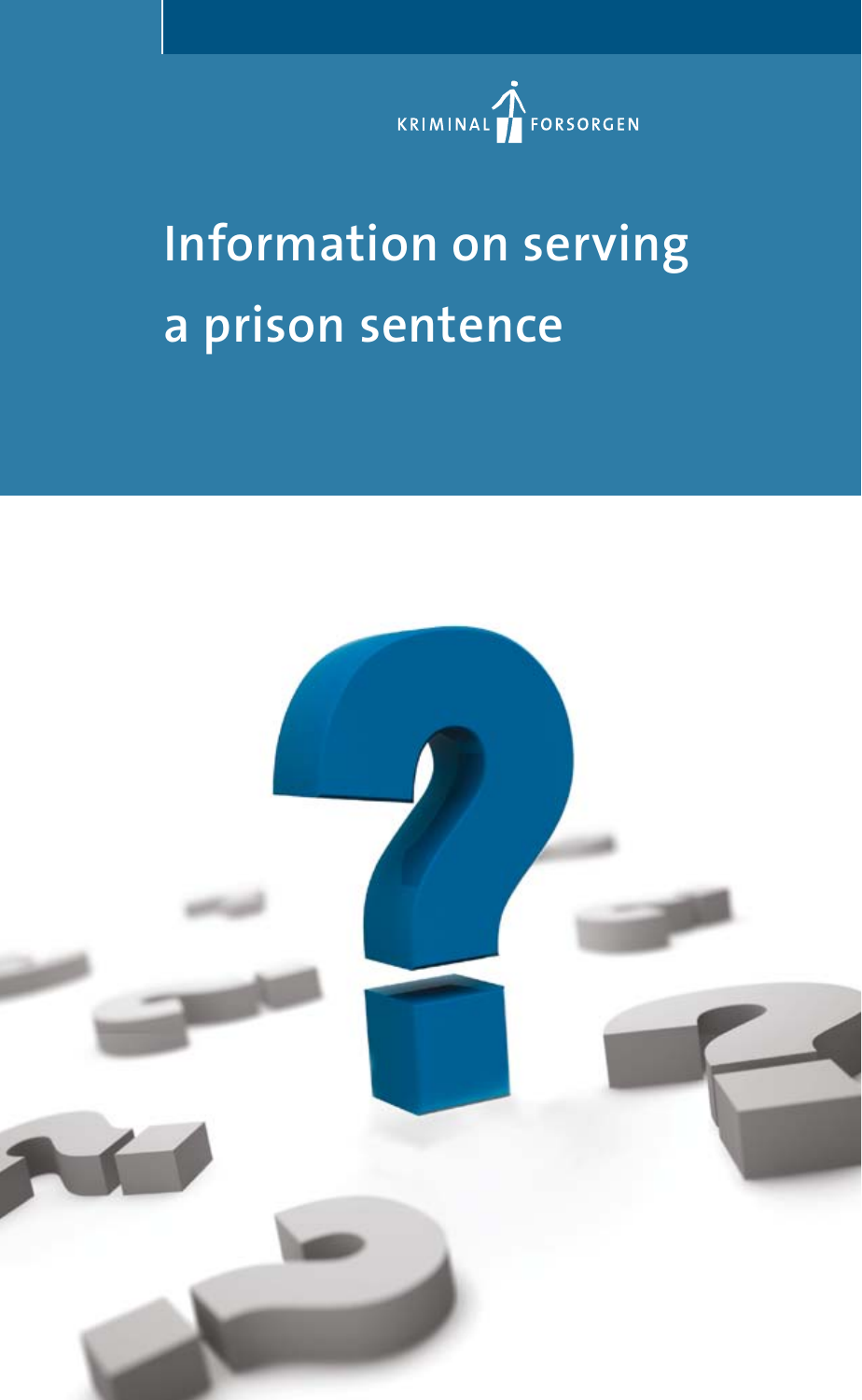

# **Information on serving a prison sentence**

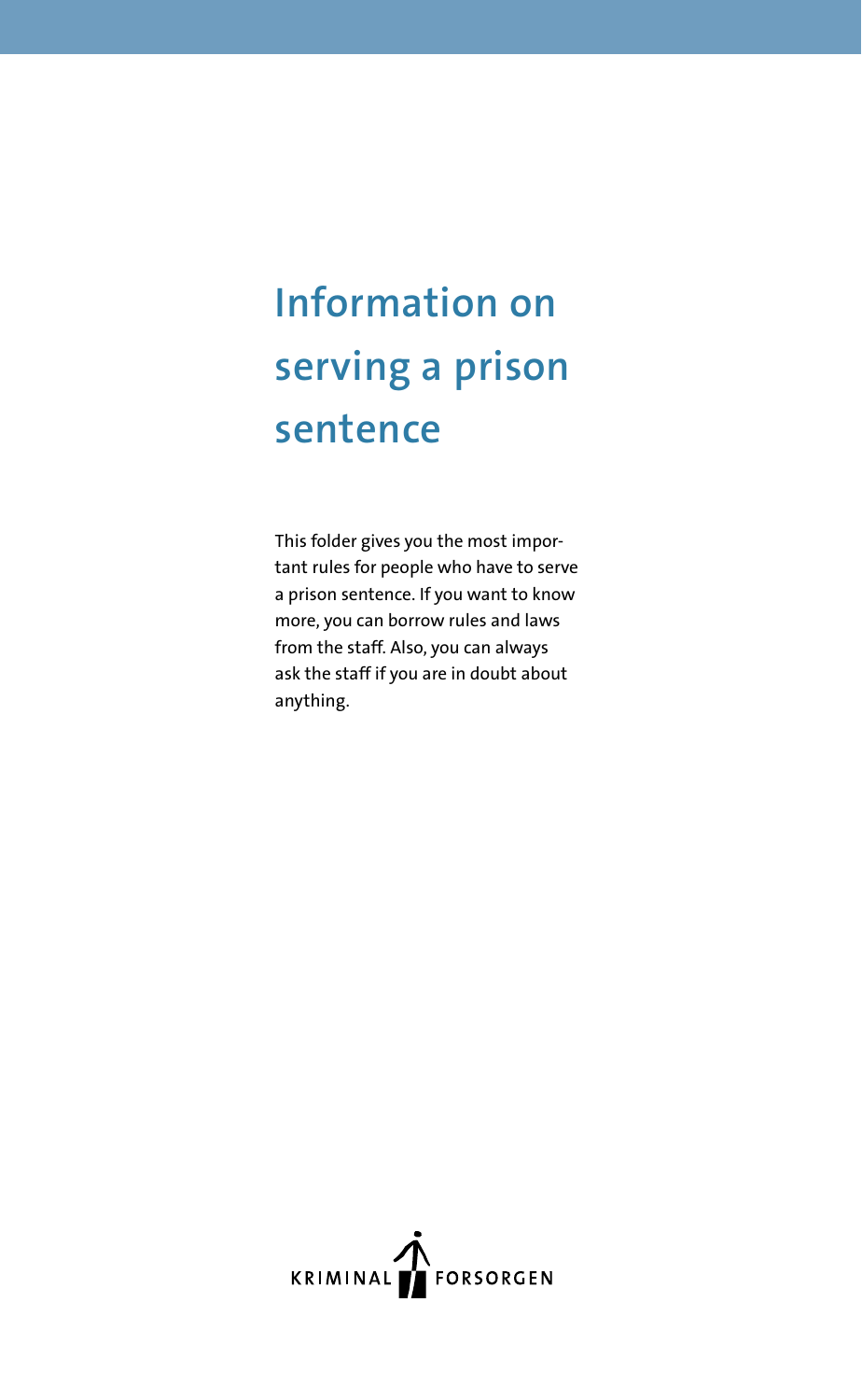## **Information on serving a prison sentence**

This folder gives you the most important rules for people who have to serve a prison sentence. If you want to know more, you can borrow rules and laws from the staff. Also, you can always ask the staff if you are in doubt about anything.

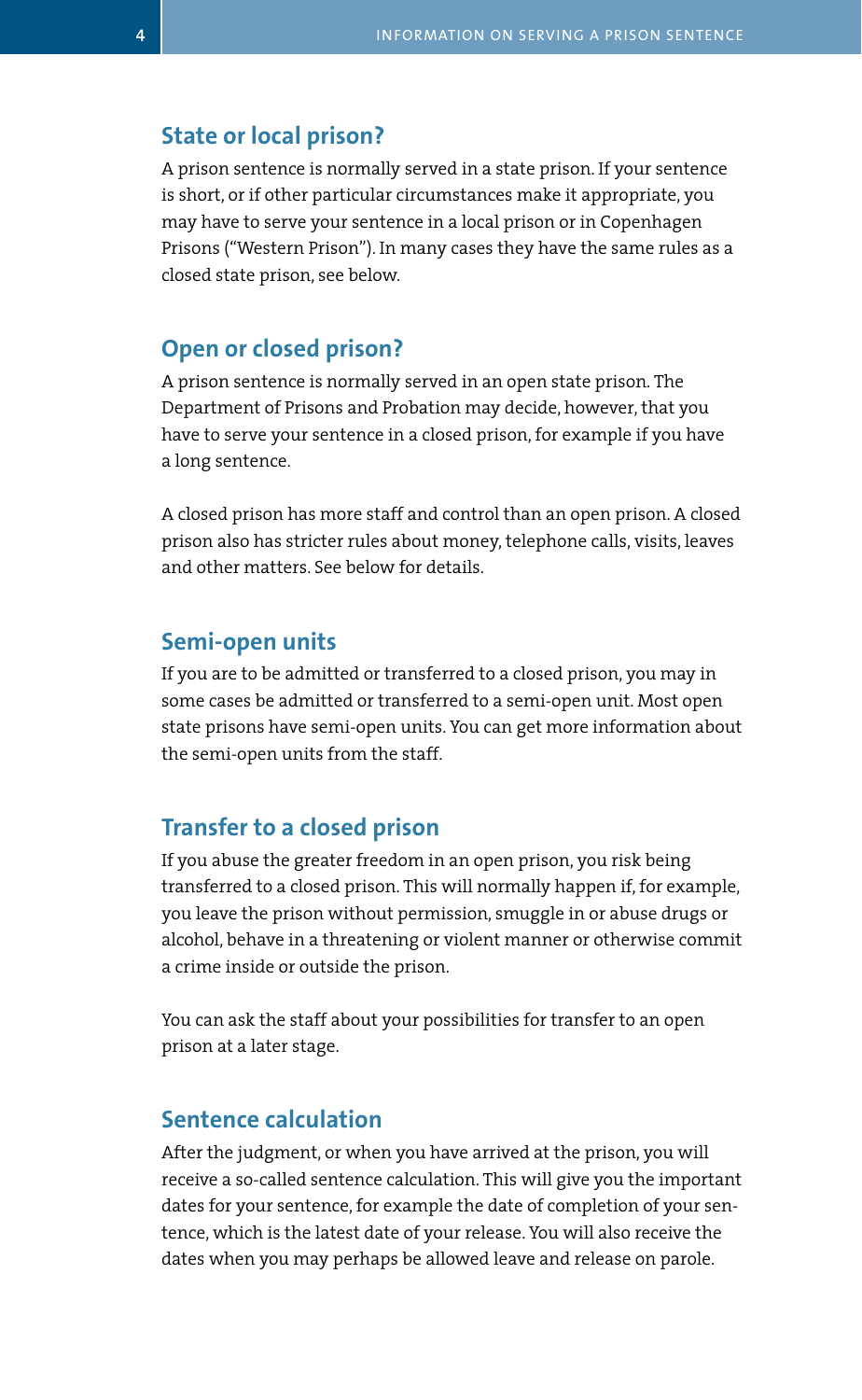#### **State or local prison?**

A prison sentence is normally served in a state prison. If your sentence is short, or if other particular circumstances make it appropriate, you may have to serve your sentence in a local prison or in Copenhagen Prisons ("Western Prison"). In many cases they have the same rules as a closed state prison, see below.

#### **Open or closed prison?**

A prison sentence is normally served in an open state prison. The Department of Prisons and Probation may decide, however, that you have to serve your sentence in a closed prison, for example if you have a long sentence.

A closed prison has more staff and control than an open prison. A closed prison also has stricter rules about money, telephone calls, visits, leaves and other matters. See below for details.

#### **Semi-open units**

If you are to be admitted or transferred to a closed prison, you may in some cases be admitted or transferred to a semi-open unit. Most open state prisons have semi-open units. You can get more information about the semi-open units from the staff.

#### **Transfer to a closed prison**

If you abuse the greater freedom in an open prison, you risk being transferred to a closed prison. This will normally happen if, for example, you leave the prison without permission, smuggle in or abuse drugs or alcohol, behave in a threatening or violent manner or otherwise commit a crime inside or outside the prison.

You can ask the staff about your possibilities for transfer to an open prison at a later stage.

#### **Sentence calculation**

After the judgment, or when you have arrived at the prison, you will receive a so-called sentence calculation. This will give you the important dates for your sentence, for example the date of completion of your sentence, which is the latest date of your release. You will also receive the dates when you may perhaps be allowed leave and release on parole.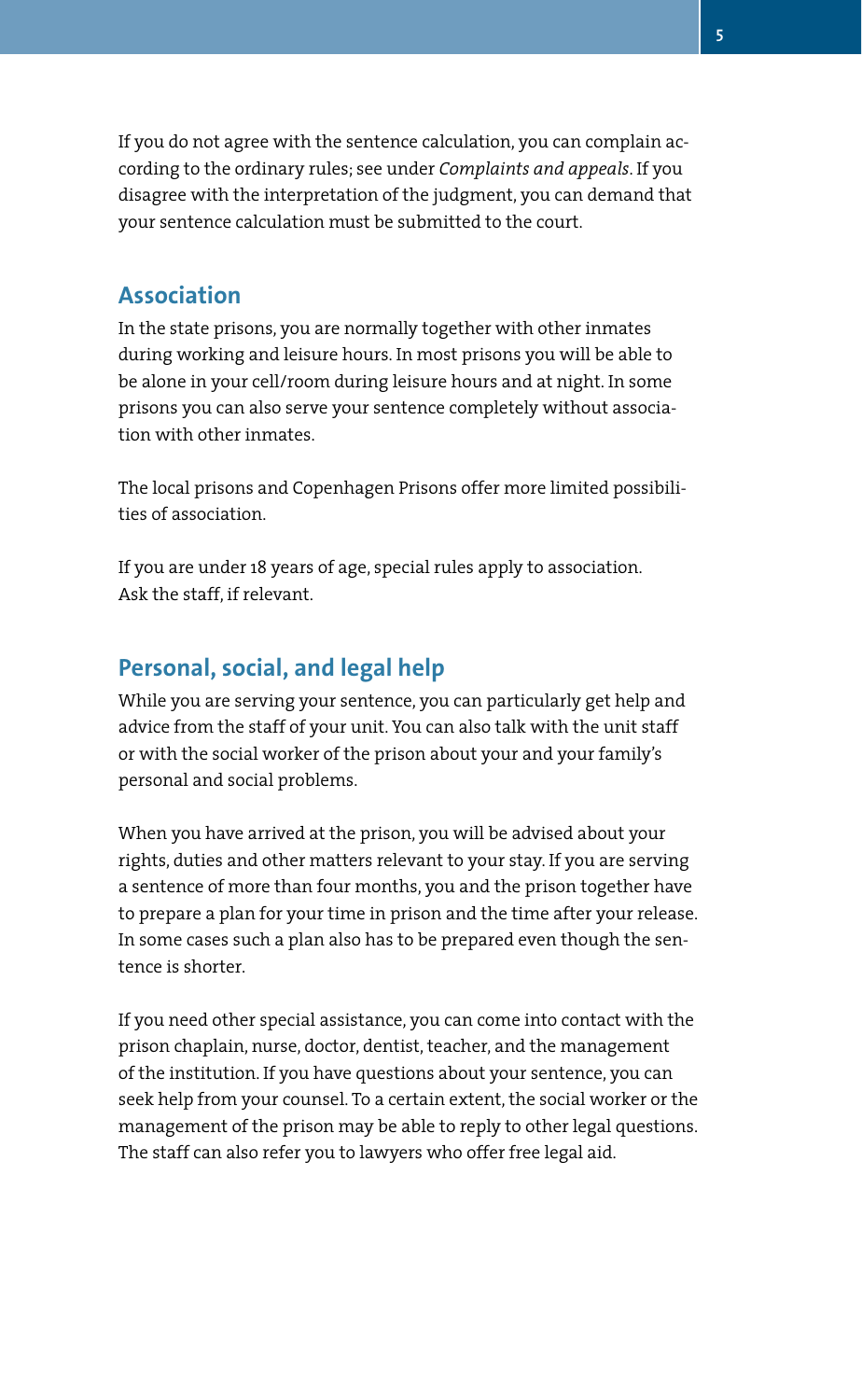If you do not agree with the sentence calculation, you can complain according to the ordinary rules; see under *Complaints and appeals*. If you disagree with the interpretation of the judgment, you can demand that your sentence calculation must be submitted to the court.

## **Association**

In the state prisons, you are normally together with other inmates during working and leisure hours. In most prisons you will be able to be alone in your cell/room during leisure hours and at night. In some prisons you can also serve your sentence completely without association with other inmates.

The local prisons and Copenhagen Prisons offer more limited possibilities of association.

If you are under 18 years of age, special rules apply to association. Ask the staff, if relevant.

#### **Personal, social, and legal help**

While you are serving your sentence, you can particularly get help and advice from the staff of your unit. You can also talk with the unit staff or with the social worker of the prison about your and your family's personal and social problems.

When you have arrived at the prison, you will be advised about your rights, duties and other matters relevant to your stay. If you are serving a sentence of more than four months, you and the prison together have to prepare a plan for your time in prison and the time after your release. In some cases such a plan also has to be prepared even though the sentence is shorter.

If you need other special assistance, you can come into contact with the prison chaplain, nurse, doctor, dentist, teacher, and the management of the institution. If you have questions about your sentence, you can seek help from your counsel. To a certain extent, the social worker or the management of the prison may be able to reply to other legal questions. The staff can also refer you to lawyers who offer free legal aid.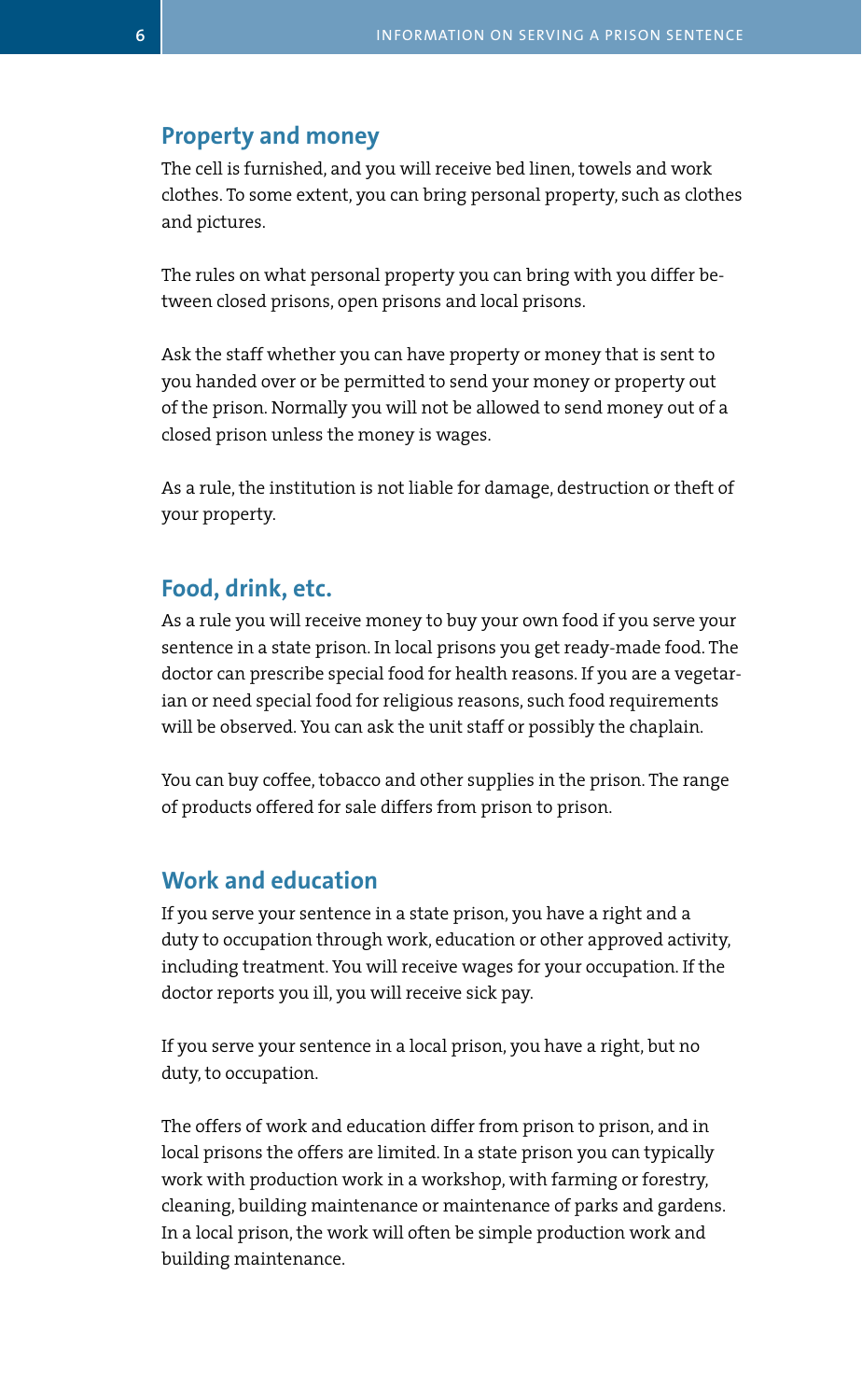#### **Property and money**

The cell is furnished, and you will receive bed linen, towels and work clothes. To some extent, you can bring personal property, such as clothes and pictures.

The rules on what personal property you can bring with you differ between closed prisons, open prisons and local prisons.

Ask the staff whether you can have property or money that is sent to you handed over or be permitted to send your money or property out of the prison. Normally you will not be allowed to send money out of a closed prison unless the money is wages.

As a rule, the institution is not liable for damage, destruction or theft of your property.

## **Food, drink, etc.**

As a rule you will receive money to buy your own food if you serve your sentence in a state prison. In local prisons you get ready-made food. The doctor can prescribe special food for health reasons. If you are a vegetarian or need special food for religious reasons, such food requirements will be observed. You can ask the unit staff or possibly the chaplain.

You can buy coffee, tobacco and other supplies in the prison. The range of products offered for sale differs from prison to prison.

#### **Work and education**

If you serve your sentence in a state prison, you have a right and a duty to occupation through work, education or other approved activity, including treatment. You will receive wages for your occupation. If the doctor reports you ill, you will receive sick pay.

If you serve your sentence in a local prison, you have a right, but no duty, to occupation.

The offers of work and education differ from prison to prison, and in local prisons the offers are limited. In a state prison you can typically work with production work in a workshop, with farming or forestry, cleaning, building maintenance or maintenance of parks and gardens. In a local prison, the work will often be simple production work and building maintenance.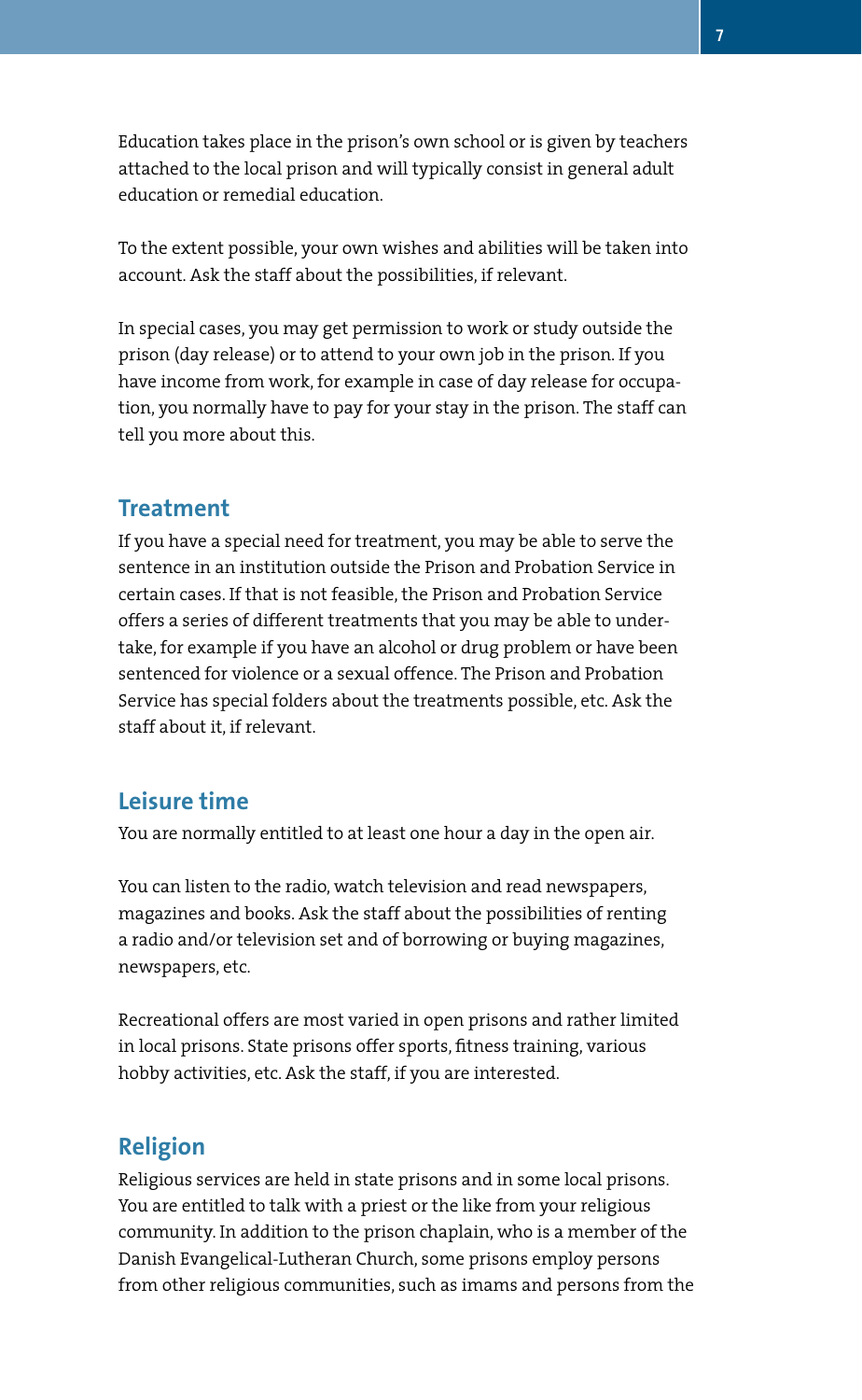Education takes place in the prison's own school or is given by teachers attached to the local prison and will typically consist in general adult education or remedial education.

To the extent possible, your own wishes and abilities will be taken into account. Ask the staff about the possibilities, if relevant.

In special cases, you may get permission to work or study outside the prison (day release) or to attend to your own job in the prison. If you have income from work, for example in case of day release for occupation, you normally have to pay for your stay in the prison. The staff can tell you more about this.

#### **Treatment**

If you have a special need for treatment, you may be able to serve the sentence in an institution outside the Prison and Probation Service in certain cases. If that is not feasible, the Prison and Probation Service offers a series of different treatments that you may be able to undertake, for example if you have an alcohol or drug problem or have been sentenced for violence or a sexual offence. The Prison and Probation Service has special folders about the treatments possible, etc. Ask the staff about it, if relevant.

#### **Leisure time**

You are normally entitled to at least one hour a day in the open air.

You can listen to the radio, watch television and read newspapers, magazines and books. Ask the staff about the possibilities of renting a radio and/or television set and of borrowing or buying magazines, newspapers, etc.

Recreational offers are most varied in open prisons and rather limited in local prisons. State prisons offer sports, fitness training, various hobby activities, etc. Ask the staff, if you are interested.

#### **Religion**

Religious services are held in state prisons and in some local prisons. You are entitled to talk with a priest or the like from your religious community. In addition to the prison chaplain, who is a member of the Danish Evangelical-Lutheran Church, some prisons employ persons from other religious communities, such as imams and persons from the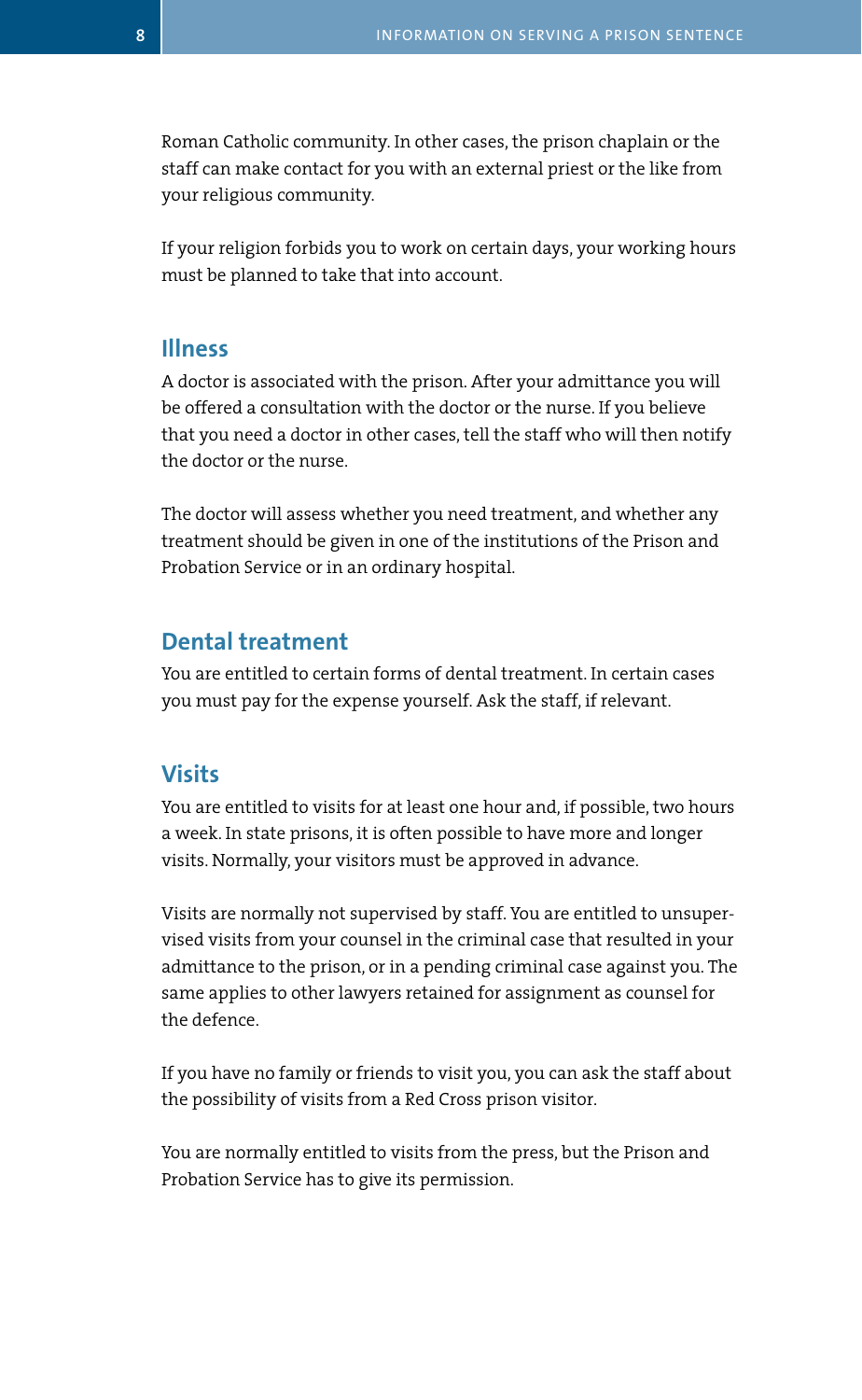Roman Catholic community. In other cases, the prison chaplain or the staff can make contact for you with an external priest or the like from your religious community.

If your religion forbids you to work on certain days, your working hours must be planned to take that into account.

#### **Illness**

A doctor is associated with the prison. After your admittance you will be offered a consultation with the doctor or the nurse. If you believe that you need a doctor in other cases, tell the staff who will then notify the doctor or the nurse.

The doctor will assess whether you need treatment, and whether any treatment should be given in one of the institutions of the Prison and Probation Service or in an ordinary hospital.

#### **Dental treatment**

You are entitled to certain forms of dental treatment. In certain cases you must pay for the expense yourself. Ask the staff, if relevant.

#### **Visits**

You are entitled to visits for at least one hour and, if possible, two hours a week. In state prisons, it is often possible to have more and longer visits. Normally, your visitors must be approved in advance.

Visits are normally not supervised by staff. You are entitled to unsupervised visits from your counsel in the criminal case that resulted in your admittance to the prison, or in a pending criminal case against you. The same applies to other lawyers retained for assignment as counsel for the defence.

If you have no family or friends to visit you, you can ask the staff about the possibility of visits from a Red Cross prison visitor.

You are normally entitled to visits from the press, but the Prison and Probation Service has to give its permission.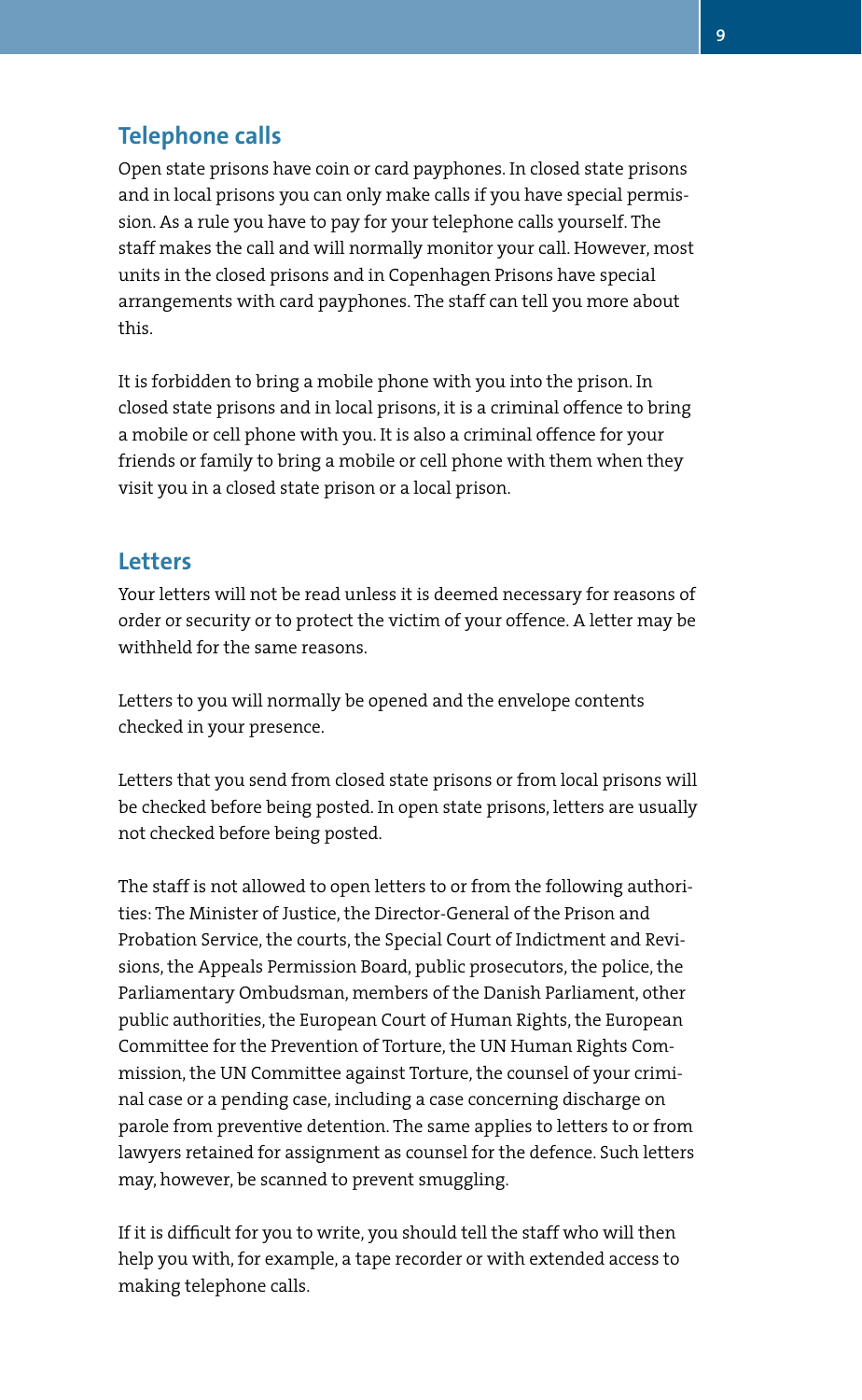## **Telephone calls**

Open state prisons have coin or card payphones. In closed state prisons and in local prisons you can only make calls if you have special permission. As a rule you have to pay for your telephone calls yourself. The staff makes the call and will normally monitor your call. However, most units in the closed prisons and in Copenhagen Prisons have special arrangements with card payphones. The staff can tell you more about this.

It is forbidden to bring a mobile phone with you into the prison. In closed state prisons and in local prisons, it is a criminal offence to bring a mobile or cell phone with you. It is also a criminal offence for your friends or family to bring a mobile or cell phone with them when they visit you in a closed state prison or a local prison.

#### **Letters**

Your letters will not be read unless it is deemed necessary for reasons of order or security or to protect the victim of your offence. A letter may be withheld for the same reasons.

Letters to you will normally be opened and the envelope contents checked in your presence.

Letters that you send from closed state prisons or from local prisons will be checked before being posted. In open state prisons, letters are usually not checked before being posted.

The staff is not allowed to open letters to or from the following authorities: The Minister of Justice, the Director-General of the Prison and Probation Service, the courts, the Special Court of Indictment and Revisions, the Appeals Permission Board, public prosecutors, the police, the Parliamentary Ombudsman, members of the Danish Parliament, other public authorities, the European Court of Human Rights, the European Committee for the Prevention of Torture, the UN Human Rights Commission, the UN Committee against Torture, the counsel of your criminal case or a pending case, including a case concerning discharge on parole from preventive detention. The same applies to letters to or from lawyers retained for assignment as counsel for the defence. Such letters may, however, be scanned to prevent smuggling.

If it is difficult for you to write, you should tell the staff who will then help you with, for example, a tape recorder or with extended access to making telephone calls.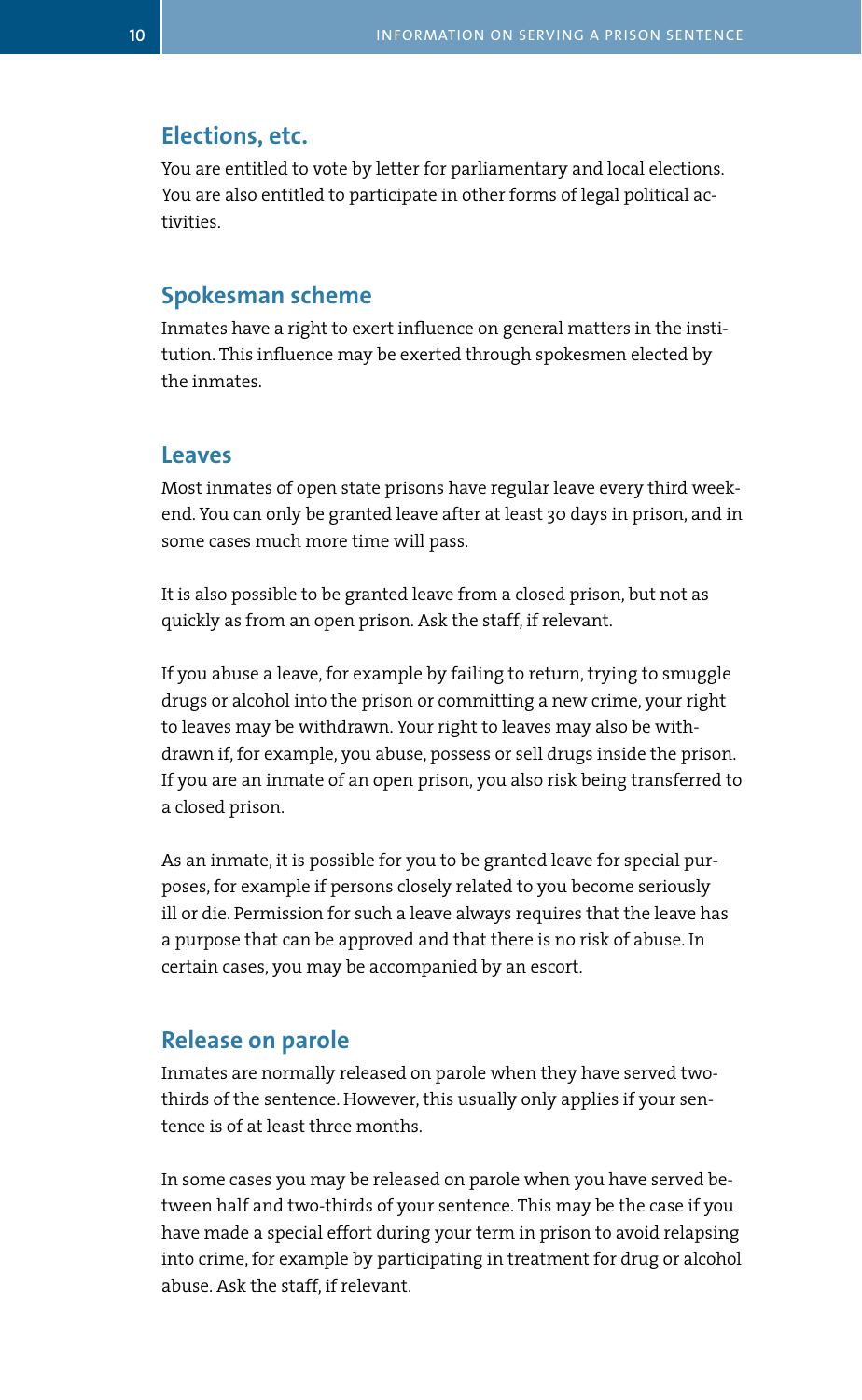#### **Elections, etc.**

You are entitled to vote by letter for parliamentary and local elections. You are also entitled to participate in other forms of legal political activities.

#### **Spokesman scheme**

Inmates have a right to exert influence on general matters in the institution. This influence may be exerted through spokesmen elected by the inmates.

#### **Leaves**

Most inmates of open state prisons have regular leave every third weekend. You can only be granted leave after at least 30 days in prison, and in some cases much more time will pass.

It is also possible to be granted leave from a closed prison, but not as quickly as from an open prison. Ask the staff, if relevant.

If you abuse a leave, for example by failing to return, trying to smuggle drugs or alcohol into the prison or committing a new crime, your right to leaves may be withdrawn. Your right to leaves may also be withdrawn if, for example, you abuse, possess or sell drugs inside the prison. If you are an inmate of an open prison, you also risk being transferred to a closed prison.

As an inmate, it is possible for you to be granted leave for special purposes, for example if persons closely related to you become seriously ill or die. Permission for such a leave always requires that the leave has a purpose that can be approved and that there is no risk of abuse. In certain cases, you may be accompanied by an escort.

#### **Release on parole**

Inmates are normally released on parole when they have served twothirds of the sentence. However, this usually only applies if your sentence is of at least three months.

In some cases you may be released on parole when you have served between half and two-thirds of your sentence. This may be the case if you have made a special effort during your term in prison to avoid relapsing into crime, for example by participating in treatment for drug or alcohol abuse. Ask the staff, if relevant.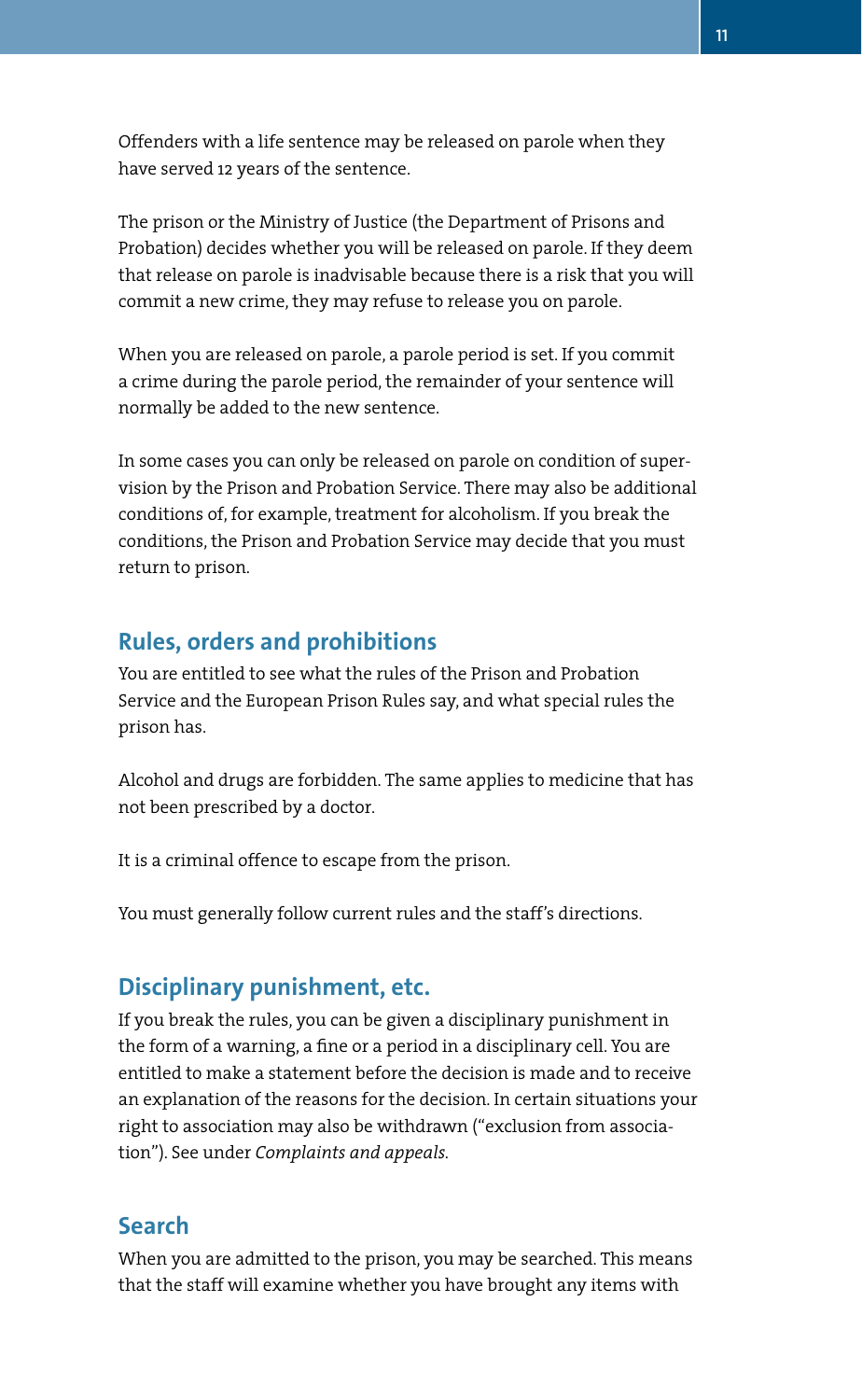Offenders with a life sentence may be released on parole when they have served 12 years of the sentence.

The prison or the Ministry of Justice (the Department of Prisons and Probation) decides whether you will be released on parole. If they deem that release on parole is inadvisable because there is a risk that you will commit a new crime, they may refuse to release you on parole.

When you are released on parole, a parole period is set. If you commit a crime during the parole period, the remainder of your sentence will normally be added to the new sentence.

In some cases you can only be released on parole on condition of supervision by the Prison and Probation Service. There may also be additional conditions of, for example, treatment for alcoholism. If you break the conditions, the Prison and Probation Service may decide that you must return to prison.

#### **Rules, orders and prohibitions**

You are entitled to see what the rules of the Prison and Probation Service and the European Prison Rules say, and what special rules the prison has.

Alcohol and drugs are forbidden. The same applies to medicine that has not been prescribed by a doctor.

It is a criminal offence to escape from the prison.

You must generally follow current rules and the staff's directions.

## **Disciplinary punishment, etc.**

If you break the rules, you can be given a disciplinary punishment in the form of a warning, a fine or a period in a disciplinary cell. You are entitled to make a statement before the decision is made and to receive an explanation of the reasons for the decision. In certain situations your right to association may also be withdrawn ("exclusion from association"). See under *Complaints and appeals.* 

#### **Search**

When you are admitted to the prison, you may be searched. This means that the staff will examine whether you have brought any items with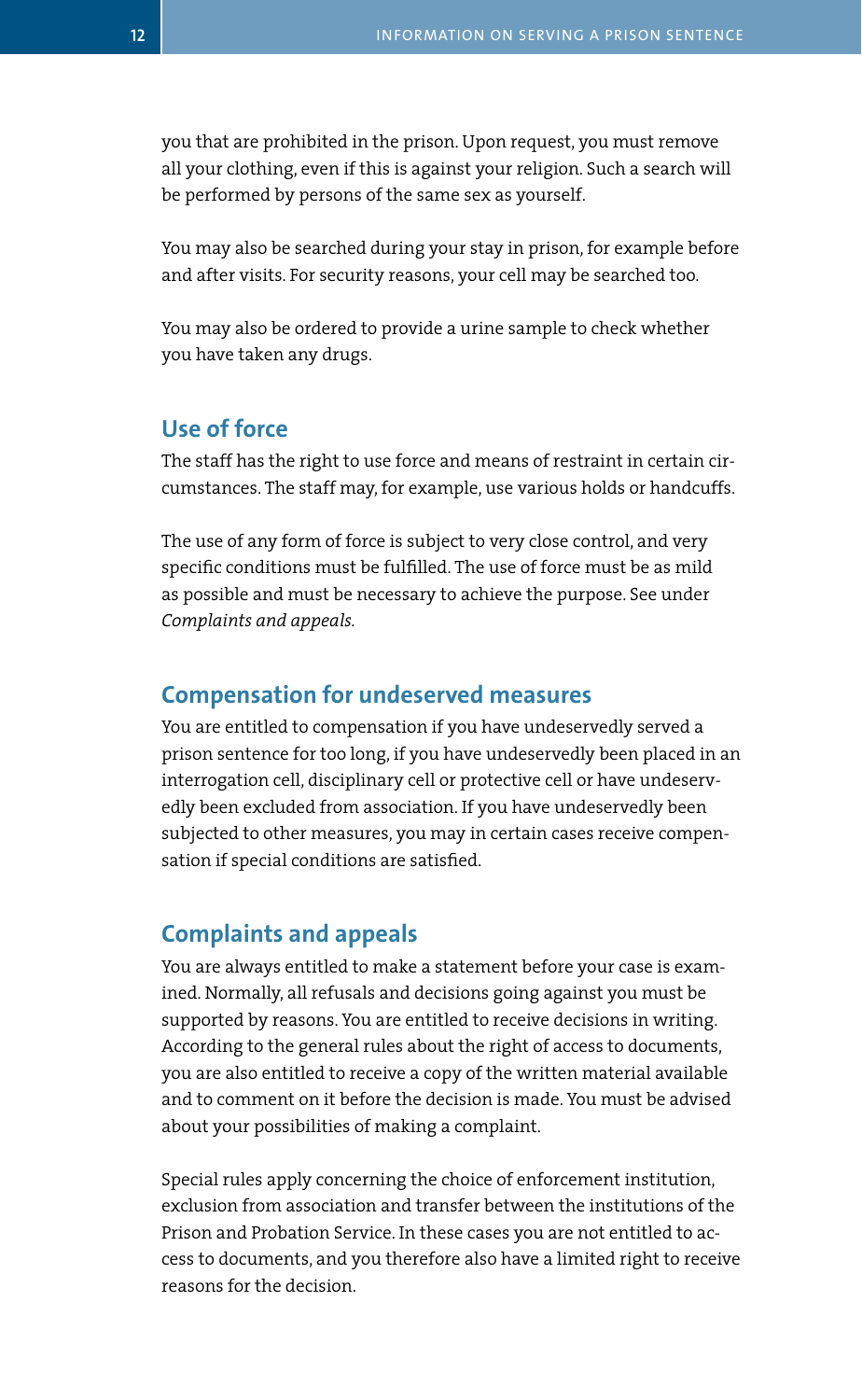you that are prohibited in the prison. Upon request, you must remove all your clothing, even if this is against your religion. Such a search will be performed by persons of the same sex as yourself.

You may also be searched during your stay in prison, for example before and after visits. For security reasons, your cell may be searched too.

You may also be ordered to provide a urine sample to check whether you have taken any drugs.

#### **Use of force**

The staff has the right to use force and means of restraint in certain circumstances. The staff may, for example, use various holds or handcuffs.

The use of any form of force is subject to very close control, and very specific conditions must be fulfilled. The use of force must be as mild as possible and must be necessary to achieve the purpose. See under *Complaints and appeals.* 

#### **Compensation for undeserved measures**

You are entitled to compensation if you have undeservedly served a prison sentence for too long, if you have undeservedly been placed in an interrogation cell, disciplinary cell or protective cell or have undeservedly been excluded from association. If you have undeservedly been subjected to other measures, you may in certain cases receive compensation if special conditions are satisfied.

## **Complaints and appeals**

You are always entitled to make a statement before your case is examined. Normally, all refusals and decisions going against you must be supported by reasons. You are entitled to receive decisions in writing. According to the general rules about the right of access to documents, you are also entitled to receive a copy of the written material available and to comment on it before the decision is made. You must be advised about your possibilities of making a complaint.

Special rules apply concerning the choice of enforcement institution, exclusion from association and transfer between the institutions of the Prison and Probation Service. In these cases you are not entitled to access to documents, and you therefore also have a limited right to receive reasons for the decision.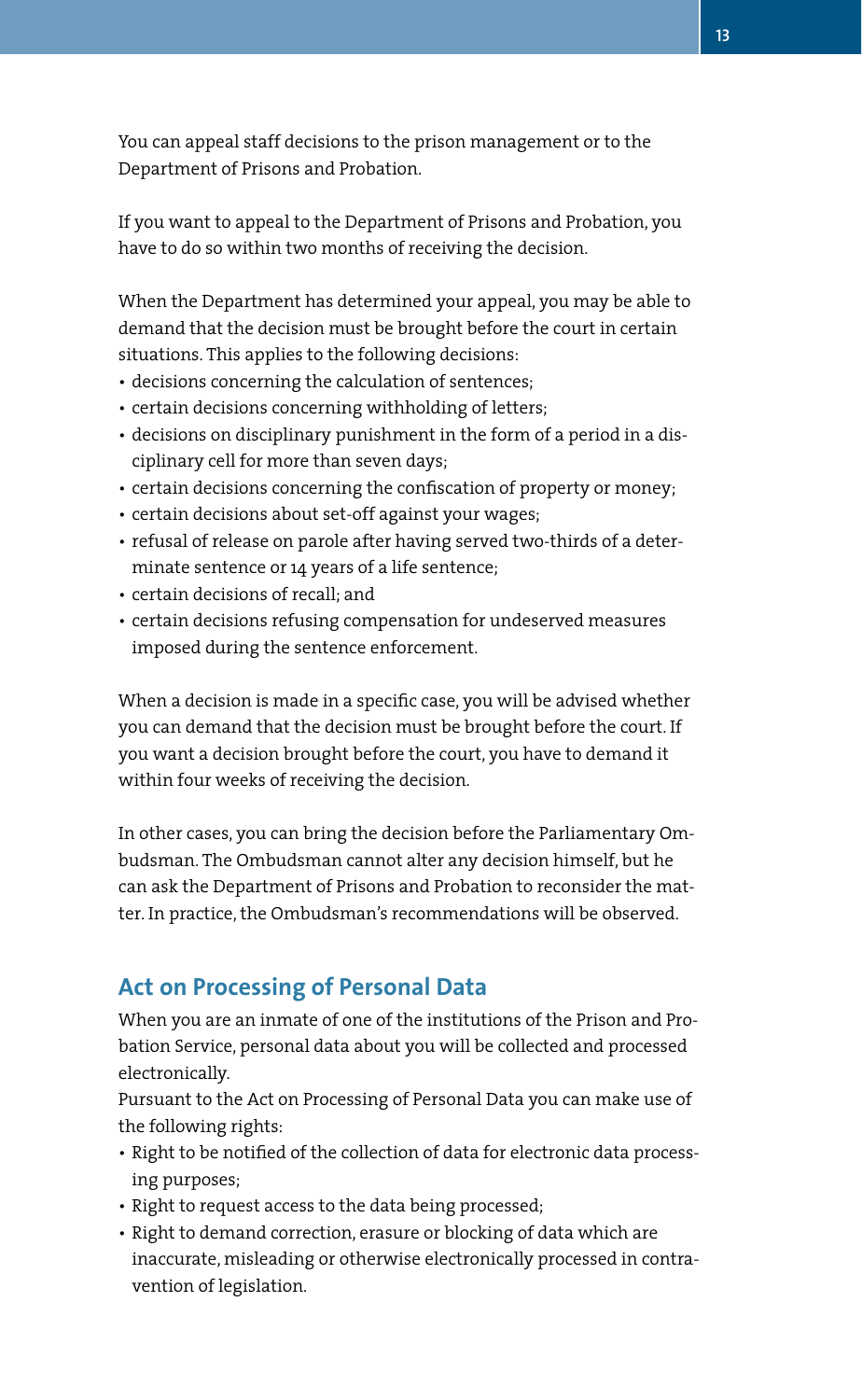You can appeal staff decisions to the prison management or to the Department of Prisons and Probation.

If you want to appeal to the Department of Prisons and Probation, you have to do so within two months of receiving the decision.

When the Department has determined your appeal, you may be able to demand that the decision must be brought before the court in certain situations. This applies to the following decisions:

- decisions concerning the calculation of sentences;
- certain decisions concerning withholding of letters;
- decisions on disciplinary punishment in the form of a period in a disciplinary cell for more than seven days;
- certain decisions concerning the confiscation of property or money;
- certain decisions about set-off against your wages;
- refusal of release on parole after having served two-thirds of a determinate sentence or 14 years of a life sentence;
- • certain decisions of recall; and
- certain decisions refusing compensation for undeserved measures imposed during the sentence enforcement.

When a decision is made in a specific case, you will be advised whether you can demand that the decision must be brought before the court. If you want a decision brought before the court, you have to demand it within four weeks of receiving the decision.

In other cases, you can bring the decision before the Parliamentary Ombudsman. The Ombudsman cannot alter any decision himself, but he can ask the Department of Prisons and Probation to reconsider the matter. In practice, the Ombudsman's recommendations will be observed.

## **Act on Processing of Personal Data**

When you are an inmate of one of the institutions of the Prison and Probation Service, personal data about you will be collected and processed electronically.

Pursuant to the Act on Processing of Personal Data you can make use of the following rights:

- Right to be notified of the collection of data for electronic data processing purposes;
- Right to request access to the data being processed;
- Right to demand correction, erasure or blocking of data which are inaccurate, misleading or otherwise electronically processed in contravention of legislation.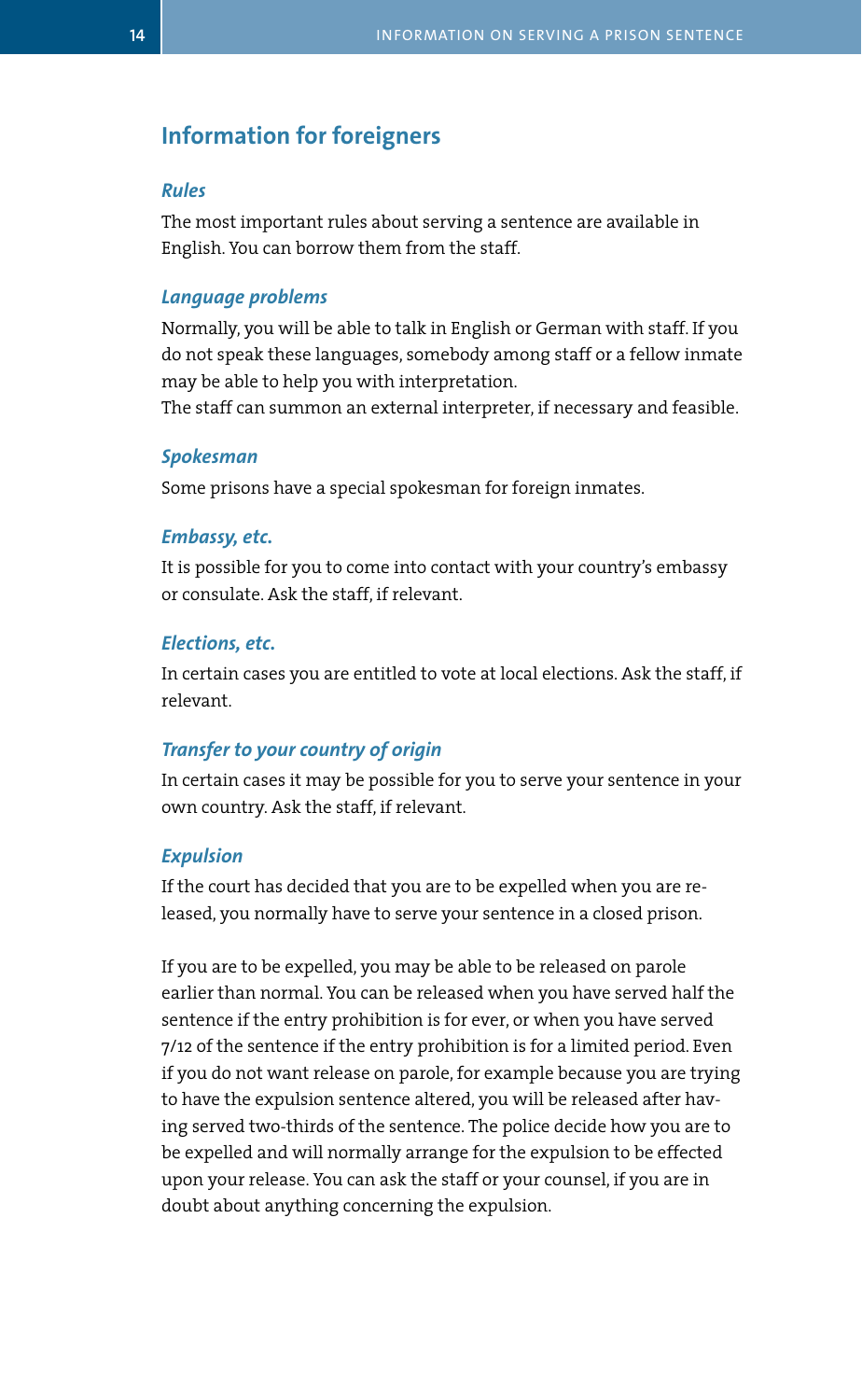#### **Information for foreigners**

#### *Rules*

The most important rules about serving a sentence are available in English. You can borrow them from the staff.

#### *Language problems*

Normally, you will be able to talk in English or German with staff. If you do not speak these languages, somebody among staff or a fellow inmate may be able to help you with interpretation.

The staff can summon an external interpreter, if necessary and feasible.

#### *Spokesman*

Some prisons have a special spokesman for foreign inmates.

#### *Embassy, etc.*

It is possible for you to come into contact with your country's embassy or consulate. Ask the staff, if relevant.

#### *Elections, etc.*

In certain cases you are entitled to vote at local elections. Ask the staff, if relevant.

#### *Transfer to your country of origin*

In certain cases it may be possible for you to serve your sentence in your own country. Ask the staff, if relevant.

#### *Expulsion*

If the court has decided that you are to be expelled when you are released, you normally have to serve your sentence in a closed prison.

If you are to be expelled, you may be able to be released on parole earlier than normal. You can be released when you have served half the sentence if the entry prohibition is for ever, or when you have served 7/12 of the sentence if the entry prohibition is for a limited period. Even if you do not want release on parole, for example because you are trying to have the expulsion sentence altered, you will be released after having served two-thirds of the sentence. The police decide how you are to be expelled and will normally arrange for the expulsion to be effected upon your release. You can ask the staff or your counsel, if you are in doubt about anything concerning the expulsion.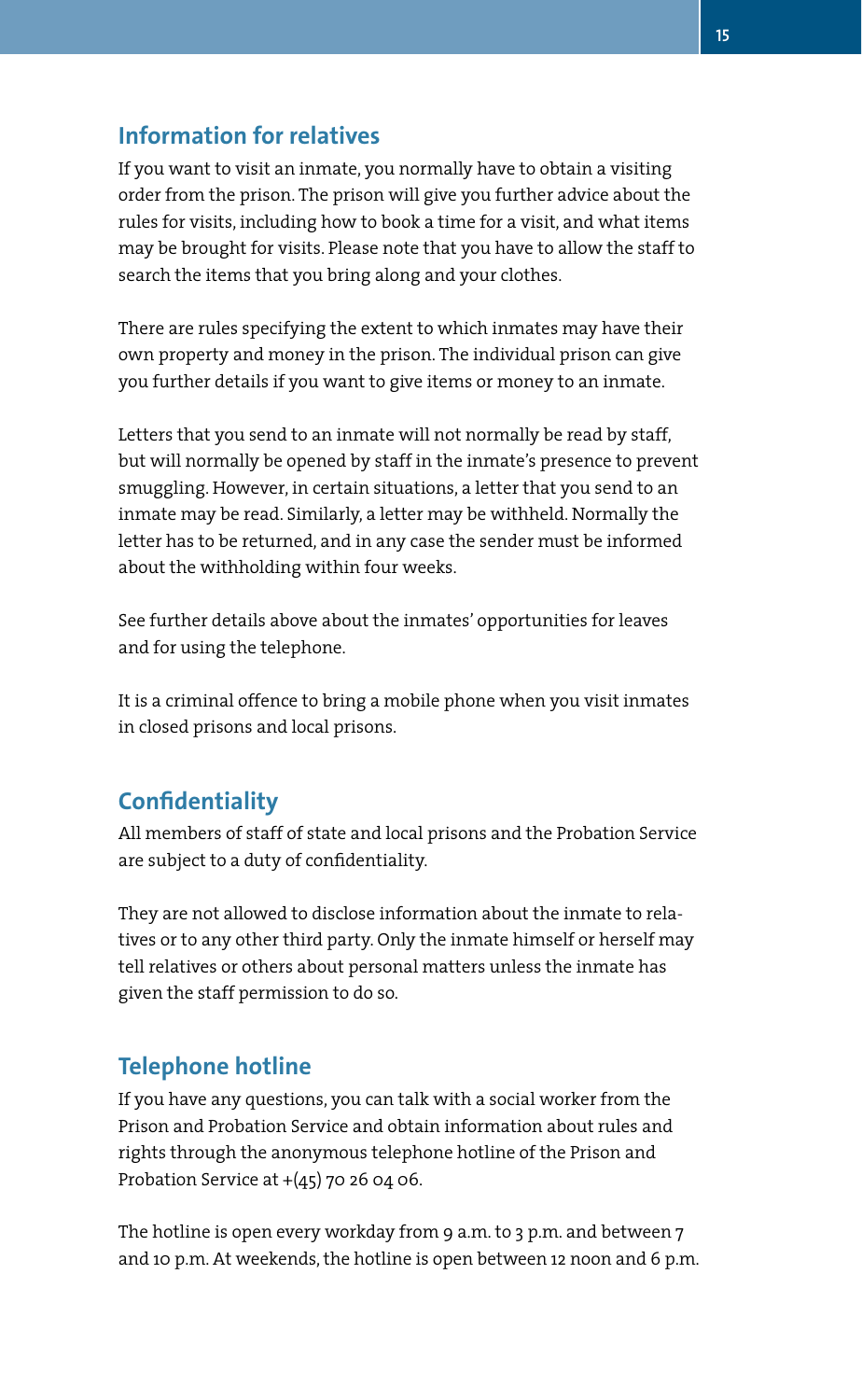## **Information for relatives**

If you want to visit an inmate, you normally have to obtain a visiting order from the prison. The prison will give you further advice about the rules for visits, including how to book a time for a visit, and what items may be brought for visits. Please note that you have to allow the staff to search the items that you bring along and your clothes.

There are rules specifying the extent to which inmates may have their own property and money in the prison. The individual prison can give you further details if you want to give items or money to an inmate.

Letters that you send to an inmate will not normally be read by staff, but will normally be opened by staff in the inmate's presence to prevent smuggling. However, in certain situations, a letter that you send to an inmate may be read. Similarly, a letter may be withheld. Normally the letter has to be returned, and in any case the sender must be informed about the withholding within four weeks.

See further details above about the inmates' opportunities for leaves and for using the telephone.

It is a criminal offence to bring a mobile phone when you visit inmates in closed prisons and local prisons.

## **Confidentiality**

All members of staff of state and local prisons and the Probation Service are subject to a duty of confidentiality.

They are not allowed to disclose information about the inmate to relatives or to any other third party. Only the inmate himself or herself may tell relatives or others about personal matters unless the inmate has given the staff permission to do so.

## **Telephone hotline**

If you have any questions, you can talk with a social worker from the Prison and Probation Service and obtain information about rules and rights through the anonymous telephone hotline of the Prison and Probation Service at  $+(45)$  70 26 04 06.

The hotline is open every workday from 9 a.m. to 3 p.m. and between 7 and 10 p.m. At weekends, the hotline is open between 12 noon and 6 p.m.